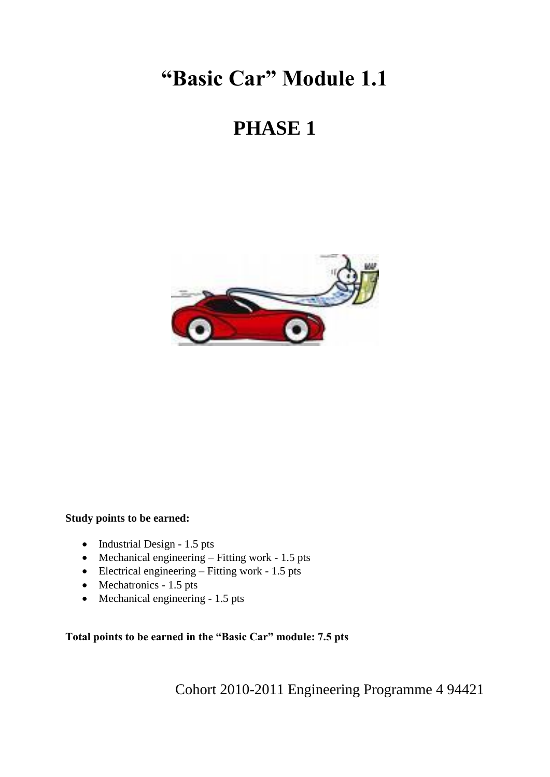# **"Basic Car" Module 1.1**

# **PHASE 1**



#### **Study points to be earned:**

- $\bullet$  Industrial Design 1.5 pts
- $\bullet$  Mechanical engineering Fitting work 1.5 pts
- $\bullet$  Electrical engineering Fitting work 1.5 pts
- Mechatronics 1.5 pts
- Mechanical engineering 1.5 pts

**Total points to be earned in the "Basic Car" module: 7.5 pts**

Cohort 2010-2011 Engineering Programme 4 94421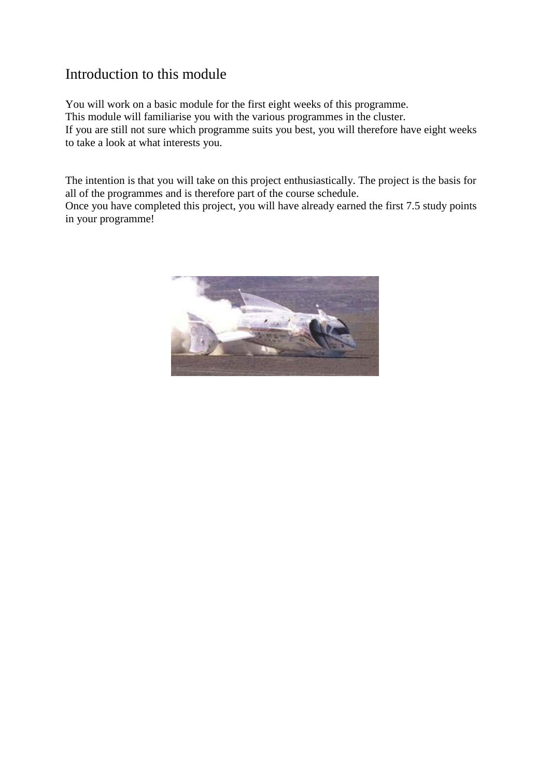## Introduction to this module

You will work on a basic module for the first eight weeks of this programme. This module will familiarise you with the various programmes in the cluster. If you are still not sure which programme suits you best, you will therefore have eight weeks to take a look at what interests you.

The intention is that you will take on this project enthusiastically. The project is the basis for all of the programmes and is therefore part of the course schedule.

Once you have completed this project, you will have already earned the first 7.5 study points in your programme!

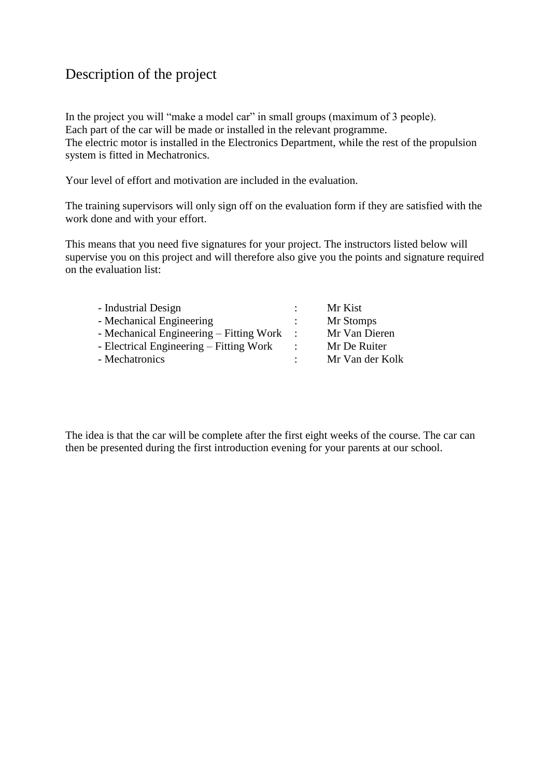## Description of the project

In the project you will "make a model car" in small groups (maximum of 3 people). Each part of the car will be made or installed in the relevant programme. The electric motor is installed in the Electronics Department, while the rest of the propulsion system is fitted in Mechatronics.

Your level of effort and motivation are included in the evaluation.

The training supervisors will only sign off on the evaluation form if they are satisfied with the work done and with your effort.

This means that you need five signatures for your project. The instructors listed below will supervise you on this project and will therefore also give you the points and signature required on the evaluation list:

| - Industrial Design                     | ÷                    | Mr Kist         |
|-----------------------------------------|----------------------|-----------------|
| - Mechanical Engineering                | $\ddot{\phantom{0}}$ | Mr Stomps       |
| - Mechanical Engineering – Fitting Work |                      | Mr Van Dieren   |
| - Electrical Engineering – Fitting Work | $\ddot{\cdot}$       | Mr De Ruiter    |
| - Mechatronics                          |                      | Mr Van der Kolk |

The idea is that the car will be complete after the first eight weeks of the course. The car can then be presented during the first introduction evening for your parents at our school.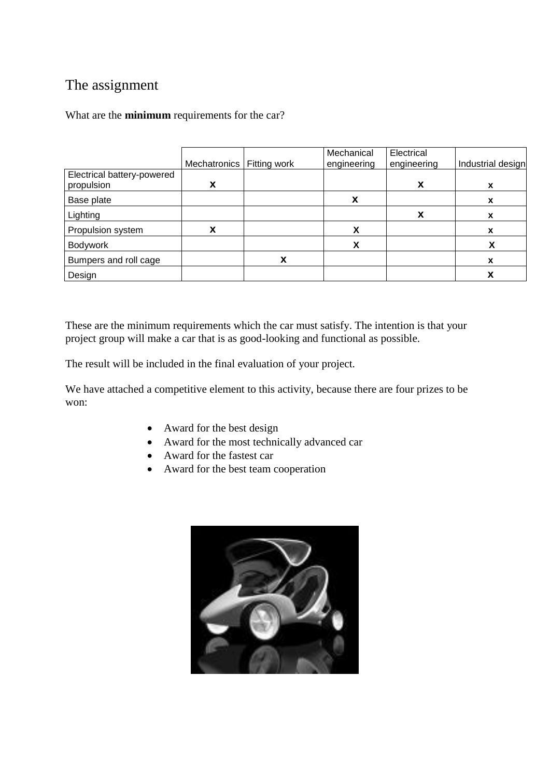## The assignment

What are the **minimum** requirements for the car?

|                                          | Mechatronics | Fitting work | Mechanical<br>engineering | Electrical<br>engineering | Industrial design |
|------------------------------------------|--------------|--------------|---------------------------|---------------------------|-------------------|
| Electrical battery-powered<br>propulsion | X            |              |                           | X                         | X                 |
| Base plate                               |              |              | X                         |                           | x                 |
| Lighting                                 |              |              |                           | x                         | x                 |
| Propulsion system                        | x            |              | χ                         |                           | x                 |
| <b>Bodywork</b>                          |              |              |                           |                           |                   |
| Bumpers and roll cage                    |              | х            |                           |                           | x                 |
| Design                                   |              |              |                           |                           |                   |

These are the minimum requirements which the car must satisfy. The intention is that your project group will make a car that is as good-looking and functional as possible.

The result will be included in the final evaluation of your project.

We have attached a competitive element to this activity, because there are four prizes to be won:

- Award for the best design
- Award for the most technically advanced car
- Award for the fastest car
- Award for the best team cooperation

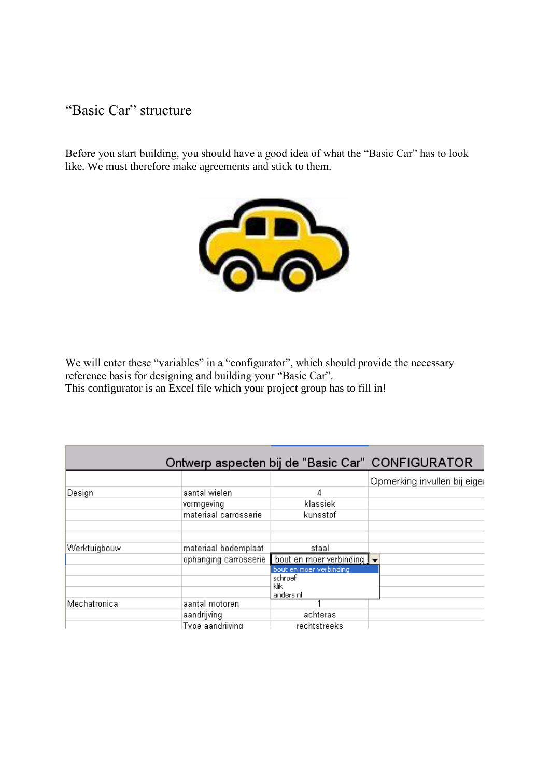## "Basic Car" structure

Before you start building, you should have a good idea of what the "Basic Car" has to look like. We must therefore make agreements and stick to them.



We will enter these "variables" in a "configurator", which should provide the necessary reference basis for designing and building your "Basic Car". This configurator is an Excel file which your project group has to fill in!

|              |                       |                                                | Ontwerp aspecten bij de "Basic Car" CONFIGURATOR |
|--------------|-----------------------|------------------------------------------------|--------------------------------------------------|
|              |                       |                                                | Opmerking invullen bij eiger                     |
| Design       | aantal wielen         | 4                                              |                                                  |
|              | vormgeving            | klassiek                                       |                                                  |
|              | materiaal carrosserie | kunsstof                                       |                                                  |
|              |                       |                                                |                                                  |
| Werktuigbouw | materiaal bodemplaat  | staal                                          |                                                  |
|              | ophanging carrosserie | bout en moer verbinding $\mathbf{I}$ $\bullet$ |                                                  |
|              |                       | bout en moer verbinding<br>schroef             |                                                  |
|              |                       | klik<br>anders nl                              |                                                  |
| Mechatronica | aantal motoren        |                                                |                                                  |
|              | aandrijving           | achteras                                       |                                                  |
|              | Type aandriiving      | rechtstreeks                                   |                                                  |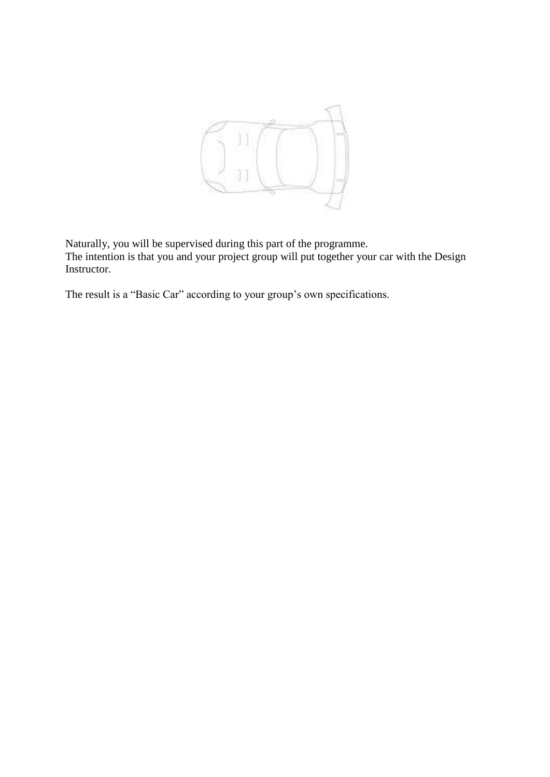

Naturally, you will be supervised during this part of the programme. The intention is that you and your project group will put together your car with the Design Instructor.

The result is a "Basic Car" according to your group's own specifications.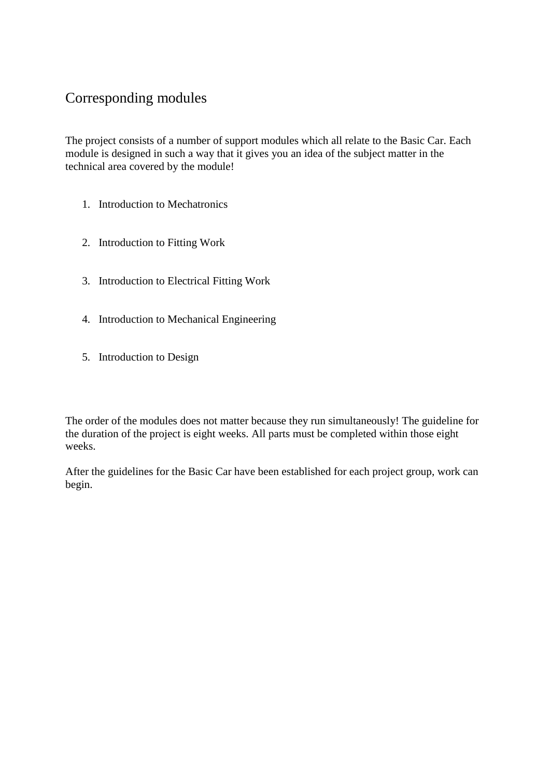## Corresponding modules

The project consists of a number of support modules which all relate to the Basic Car. Each module is designed in such a way that it gives you an idea of the subject matter in the technical area covered by the module!

- 1. Introduction to Mechatronics
- 2. Introduction to Fitting Work
- 3. Introduction to Electrical Fitting Work
- 4. Introduction to Mechanical Engineering
- 5. Introduction to Design

The order of the modules does not matter because they run simultaneously! The guideline for the duration of the project is eight weeks. All parts must be completed within those eight weeks.

After the guidelines for the Basic Car have been established for each project group, work can begin.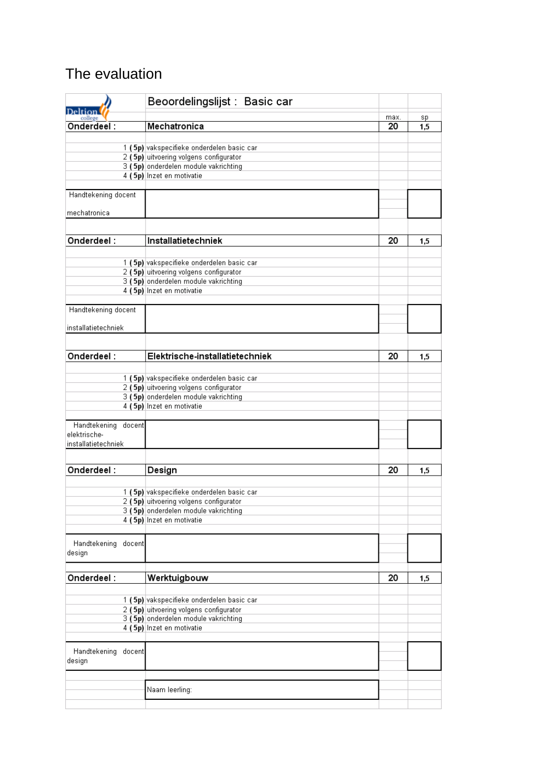## The evaluation

| Deltior                             | Beoordelingslijst : Basic car             |            |           |
|-------------------------------------|-------------------------------------------|------------|-----------|
| college<br>$Ordered$ :              | Mechatronica                              | max.<br>20 | sp<br>1,5 |
|                                     |                                           |            |           |
|                                     | 1 (5p) vakspecifieke onderdelen basic car |            |           |
|                                     | 2 (5p) uitvoering volgens configurator    |            |           |
|                                     | 3 (5p) onderdelen module vakrichting      |            |           |
|                                     | 4 (5p) Inzet en motivatie                 |            |           |
| Handtekening docent                 |                                           |            |           |
| mechatronica                        |                                           |            |           |
|                                     |                                           |            |           |
| Onderdeel:                          | Installatietechniek                       | 20         | 1,5       |
|                                     | 1 (5p) vakspecifieke onderdelen basic car |            |           |
|                                     | 2 (5p) uitvoering volgens configurator    |            |           |
|                                     | 3 (5p) onderdelen module vakrichting      |            |           |
|                                     | 4 (5p) Inzet en motivatie                 |            |           |
| Handtekening docent                 |                                           |            |           |
| installatietechniek                 |                                           |            |           |
|                                     |                                           |            |           |
| Onderdeel:                          | Elektrische-installatietechniek           | 20         | 1,5       |
|                                     |                                           |            |           |
|                                     | 1 (5p) vakspecifieke onderdelen basic car |            |           |
|                                     | 2 (5p) uitvoering volgens configurator    |            |           |
|                                     | 3 (5p) onderdelen module vakrichting      |            |           |
|                                     | 4 (5p) Inzet en motivatie                 |            |           |
| Handtekening<br>docent              |                                           |            |           |
| elektrische-<br>installatietechniek |                                           |            |           |
|                                     |                                           |            |           |
| Onderdeel:                          |                                           | 20         |           |
|                                     | Design                                    |            | 1,5       |
|                                     | 1 (5p) vakspecifieke onderdelen basic car |            |           |
|                                     | 2 (5p) uitvoering volgens configurator    |            |           |
|                                     | 3 (5p) onderdelen module vakrichting      |            |           |
|                                     | 4 (5p) Inzet en motivatie                 |            |           |
|                                     |                                           |            |           |
| Handtekening docent<br>design       |                                           |            |           |
|                                     |                                           |            |           |
| Onderdeel:                          | Werktuigbouw                              | 20         | 1,5       |
|                                     |                                           |            |           |
|                                     | 1 (5p) vakspecifieke onderdelen basic car |            |           |
|                                     | 2 (5p) uitvoering volgens configurator    |            |           |
|                                     | 3 (5p) onderdelen module vakrichting      |            |           |
|                                     | 4 (5p) Inzet en motivatie                 |            |           |
| Handtekening docent                 |                                           |            |           |
| design                              |                                           |            |           |
|                                     |                                           |            |           |
|                                     | Naam leerling:                            |            |           |
|                                     |                                           |            |           |